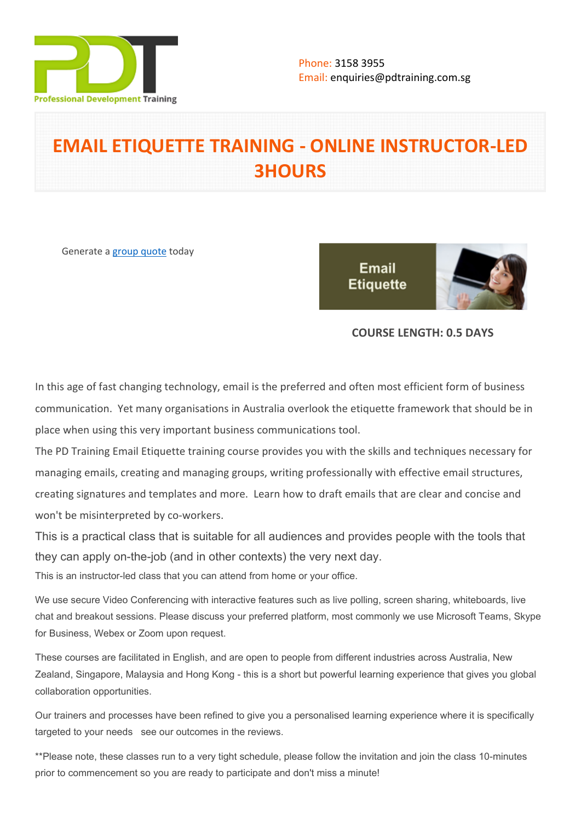

# **EMAIL ETIQUETTE TRAINING - ONLINE INSTRUCTOR-LED 3HOURS**

Generate a [group quote](https://pdtraining.com.sg/inhouse-training-quote?cse=PDTE543_C) today

**Email Etiquette** 



# **COURSE LENGTH: 0.5 DAYS**

In this age of fast changing technology, email is the preferred and often most efficient form of business communication. Yet many organisations in Australia overlook the etiquette framework that should be in place when using this very important business communications tool.

The PD Training Email Etiquette training course provides you with the skills and techniques necessary for managing emails, creating and managing groups, writing professionally with effective email structures, creating signatures and templates and more. Learn how to draft emails that are clear and concise and won't be misinterpreted by co-workers.

This is a practical class that is suitable for all audiences and provides people with the tools that they can apply on-the-job (and in other contexts) the very next day.

This is an instructor-led class that you can attend from home or your office.

We use secure Video Conferencing with interactive features such as live polling, screen sharing, whiteboards, live chat and breakout sessions. Please discuss your preferred platform, most commonly we use Microsoft Teams, Skype for Business, Webex or Zoom upon request.

These courses are facilitated in English, and are open to people from different industries across Australia, New Zealand, Singapore, Malaysia and Hong Kong - this is a short but powerful learning experience that gives you global collaboration opportunities.

Our trainers and processes have been refined to give you a personalised learning experience where it is specifically targeted to your needs see our outcomes in the reviews.

\*\*Please note, these classes run to a very tight schedule, please follow the invitation and join the class 10-minutes prior to commencement so you are ready to participate and don't miss a minute!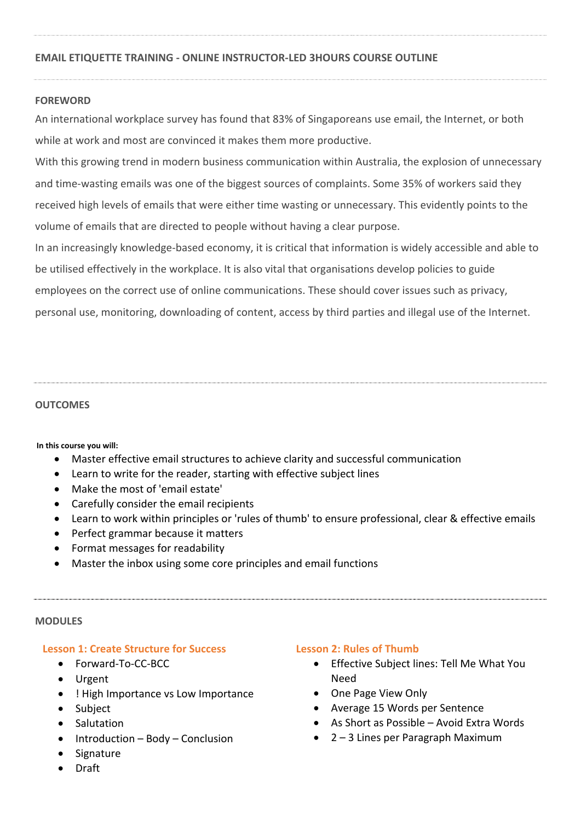# **EMAIL ETIQUETTE TRAINING - ONLINE INSTRUCTOR-LED 3HOURS COURSE OUTLINE**

# **FOREWORD**

An international workplace survey has found that 83% of Singaporeans use email, the Internet, or both while at work and most are convinced it makes them more productive.

With this growing trend in modern business communication within Australia, the explosion of unnecessary and time-wasting emails was one of the biggest sources of complaints. Some 35% of workers said they received high levels of emails that were either time wasting or unnecessary. This evidently points to the volume of emails that are directed to people without having a clear purpose.

In an increasingly knowledge-based economy, it is critical that information is widely accessible and able to be utilised effectively in the workplace. It is also vital that organisations develop policies to guide employees on the correct use of online communications. These should cover issues such as privacy, personal use, monitoring, downloading of content, access by third parties and illegal use of the Internet.

#### **OUTCOMES**

**In this course you will:**

- Master effective email structures to achieve clarity and successful communication
- Learn to write for the reader, starting with effective subject lines
- Make the most of 'email estate'
- Carefully consider the email recipients
- Learn to work within principles or 'rules of thumb' to ensure professional, clear & effective emails
- Perfect grammar because it matters
- Format messages for readability
- Master the inbox using some core principles and email functions

#### **MODULES**

# **Lesson 1: Create Structure for Success**

- Forward-To-CC-BCC
- Urgent
- ! High Importance vs Low Importance
- Subject
- Salutation
- $\bullet$  Introduction Body Conclusion
- Signature
- Draft

# **Lesson 2: Rules of Thumb**

- Effective Subject lines: Tell Me What You Need
- One Page View Only
- Average 15 Words per Sentence
- As Short as Possible Avoid Extra Words
- 2 3 Lines per Paragraph Maximum